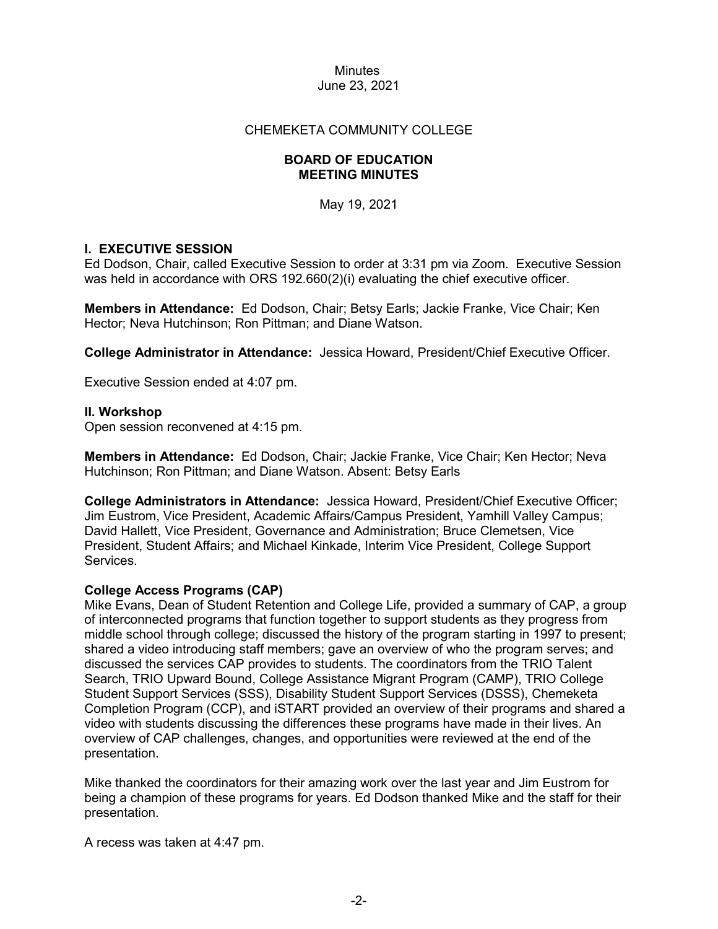### CHEMEKETA COMMUNITY COLLEGE

### **BOARD OF EDUCATION MEETING MINUTES**

May 19, 2021

### **I. EXECUTIVE SESSION**

Ed Dodson, Chair, called Executive Session to order at 3:31 pm via Zoom. Executive Session was held in accordance with ORS 192.660(2)(i) evaluating the chief executive officer.

**Members in Attendance:** Ed Dodson, Chair; Betsy Earls; Jackie Franke, Vice Chair; Ken Hector; Neva Hutchinson; Ron Pittman; and Diane Watson.

**College Administrator in Attendance:** Jessica Howard, President/Chief Executive Officer.

Executive Session ended at 4:07 pm.

### **II. Workshop**

Open session reconvened at 4:15 pm.

**Members in Attendance:** Ed Dodson, Chair; Jackie Franke, Vice Chair; Ken Hector; Neva Hutchinson; Ron Pittman; and Diane Watson. Absent: Betsy Earls

**College Administrators in Attendance:** Jessica Howard, President/Chief Executive Officer; Jim Eustrom, Vice President, Academic Affairs/Campus President, Yamhill Valley Campus; David Hallett, Vice President, Governance and Administration; Bruce Clemetsen, Vice President, Student Affairs; and Michael Kinkade, Interim Vice President, College Support Services.

### **College Access Programs (CAP)**

Mike Evans, Dean of Student Retention and College Life, provided a summary of CAP, a group of interconnected programs that function together to support students as they progress from middle school through college; discussed the history of the program starting in 1997 to present; shared a video introducing staff members; gave an overview of who the program serves; and discussed the services CAP provides to students. The coordinators from the TRIO Talent Search, TRIO Upward Bound, College Assistance Migrant Program (CAMP), TRIO College Student Support Services (SSS), Disability Student Support Services (DSSS), Chemeketa Completion Program (CCP), and iSTART provided an overview of their programs and shared a video with students discussing the differences these programs have made in their lives. An overview of CAP challenges, changes, and opportunities were reviewed at the end of the presentation.

Mike thanked the coordinators for their amazing work over the last year and Jim Eustrom for being a champion of these programs for years. Ed Dodson thanked Mike and the staff for their presentation.

A recess was taken at 4:47 pm.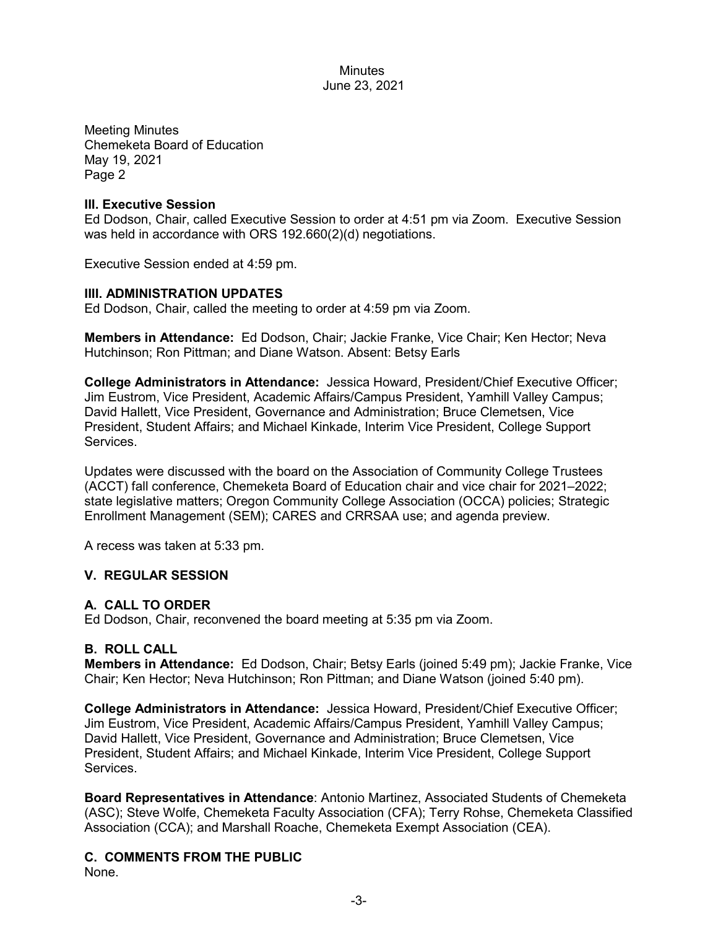Meeting Minutes Chemeketa Board of Education May 19, 2021 Page 2

### **III. Executive Session**

Ed Dodson, Chair, called Executive Session to order at 4:51 pm via Zoom. Executive Session was held in accordance with ORS 192.660(2)(d) negotiations.

Executive Session ended at 4:59 pm.

# **IIII. ADMINISTRATION UPDATES**

Ed Dodson, Chair, called the meeting to order at 4:59 pm via Zoom.

**Members in Attendance:** Ed Dodson, Chair; Jackie Franke, Vice Chair; Ken Hector; Neva Hutchinson; Ron Pittman; and Diane Watson. Absent: Betsy Earls

**College Administrators in Attendance:** Jessica Howard, President/Chief Executive Officer; Jim Eustrom, Vice President, Academic Affairs/Campus President, Yamhill Valley Campus; David Hallett, Vice President, Governance and Administration; Bruce Clemetsen, Vice President, Student Affairs; and Michael Kinkade, Interim Vice President, College Support **Services** 

Updates were discussed with the board on the Association of Community College Trustees (ACCT) fall conference, Chemeketa Board of Education chair and vice chair for 2021–2022; state legislative matters; Oregon Community College Association (OCCA) policies; Strategic Enrollment Management (SEM); CARES and CRRSAA use; and agenda preview.

A recess was taken at 5:33 pm.

# **V. REGULAR SESSION**

# **A. CALL TO ORDER**

Ed Dodson, Chair, reconvened the board meeting at 5:35 pm via Zoom.

# **B. ROLL CALL**

**Members in Attendance:** Ed Dodson, Chair; Betsy Earls (joined 5:49 pm); Jackie Franke, Vice Chair; Ken Hector; Neva Hutchinson; Ron Pittman; and Diane Watson (joined 5:40 pm).

**College Administrators in Attendance:** Jessica Howard, President/Chief Executive Officer; Jim Eustrom, Vice President, Academic Affairs/Campus President, Yamhill Valley Campus; David Hallett, Vice President, Governance and Administration; Bruce Clemetsen, Vice President, Student Affairs; and Michael Kinkade, Interim Vice President, College Support Services.

**Board Representatives in Attendance**: Antonio Martinez, Associated Students of Chemeketa (ASC); Steve Wolfe, Chemeketa Faculty Association (CFA); Terry Rohse, Chemeketa Classified Association (CCA); and Marshall Roache, Chemeketa Exempt Association (CEA).

**C. COMMENTS FROM THE PUBLIC** None.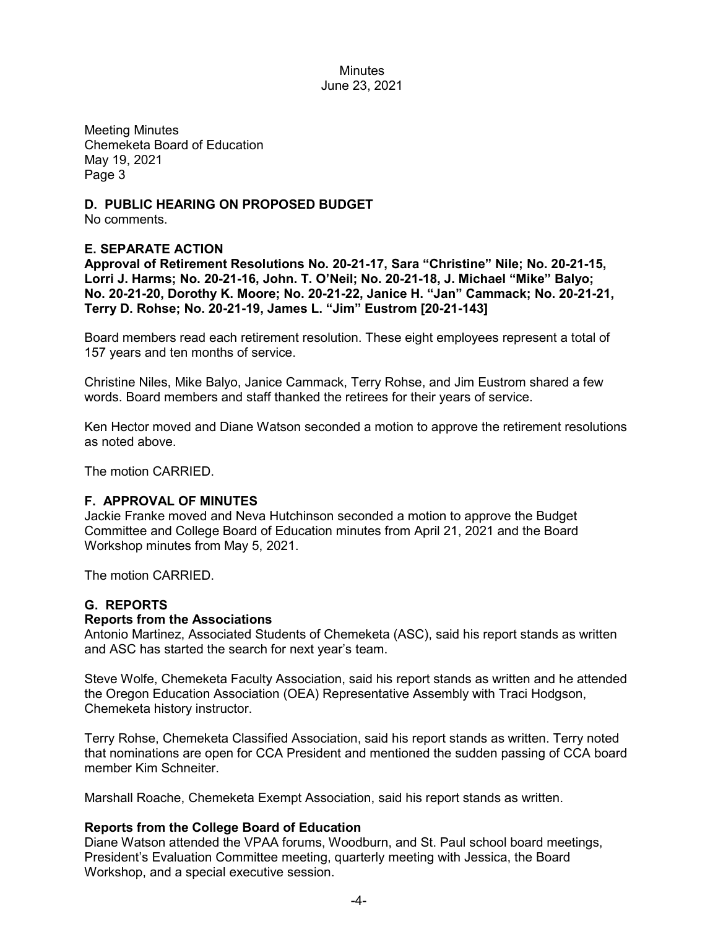Meeting Minutes Chemeketa Board of Education May 19, 2021 Page 3

**D. PUBLIC HEARING ON PROPOSED BUDGET** No comments.

# **E. SEPARATE ACTION**

**Approval of Retirement Resolutions No. 20-21-17, Sara "Christine" Nile; No. 20-21-15, Lorri J. Harms; No. 20-21-16, John. T. O'Neil; No. 20-21-18, J. Michael "Mike" Balyo; No. 20-21-20, Dorothy K. Moore; No. 20-21-22, Janice H. "Jan" Cammack; No. 20-21-21, Terry D. Rohse; No. 20-21-19, James L. "Jim" Eustrom [20-21-143]**

Board members read each retirement resolution. These eight employees represent a total of 157 years and ten months of service.

Christine Niles, Mike Balyo, Janice Cammack, Terry Rohse, and Jim Eustrom shared a few words. Board members and staff thanked the retirees for their years of service.

Ken Hector moved and Diane Watson seconded a motion to approve the retirement resolutions as noted above.

The motion CARRIED.

### **F. APPROVAL OF MINUTES**

Jackie Franke moved and Neva Hutchinson seconded a motion to approve the Budget Committee and College Board of Education minutes from April 21, 2021 and the Board Workshop minutes from May 5, 2021.

The motion CARRIED.

### **G. REPORTS**

#### **Reports from the Associations**

Antonio Martinez, Associated Students of Chemeketa (ASC), said his report stands as written and ASC has started the search for next year's team.

Steve Wolfe, Chemeketa Faculty Association, said his report stands as written and he attended the Oregon Education Association (OEA) Representative Assembly with Traci Hodgson, Chemeketa history instructor.

Terry Rohse, Chemeketa Classified Association, said his report stands as written. Terry noted that nominations are open for CCA President and mentioned the sudden passing of CCA board member Kim Schneiter.

Marshall Roache, Chemeketa Exempt Association, said his report stands as written.

### **Reports from the College Board of Education**

Diane Watson attended the VPAA forums, Woodburn, and St. Paul school board meetings, President's Evaluation Committee meeting, quarterly meeting with Jessica, the Board Workshop, and a special executive session.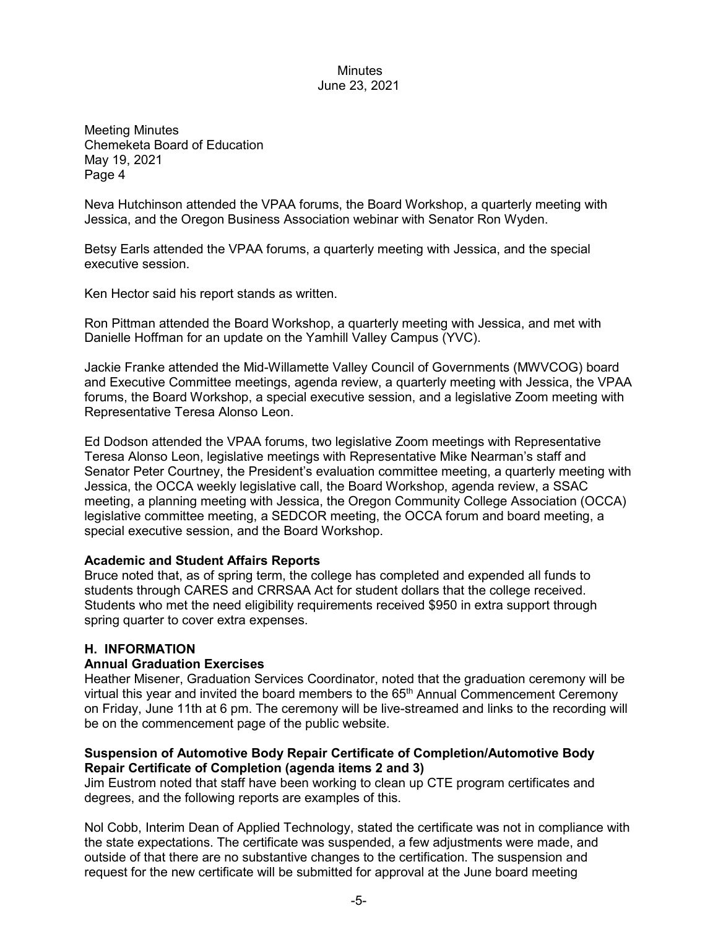Meeting Minutes Chemeketa Board of Education May 19, 2021 Page 4

Neva Hutchinson attended the VPAA forums, the Board Workshop, a quarterly meeting with Jessica, and the Oregon Business Association webinar with Senator Ron Wyden.

Betsy Earls attended the VPAA forums, a quarterly meeting with Jessica, and the special executive session.

Ken Hector said his report stands as written.

Ron Pittman attended the Board Workshop, a quarterly meeting with Jessica, and met with Danielle Hoffman for an update on the Yamhill Valley Campus (YVC).

Jackie Franke attended the Mid-Willamette Valley Council of Governments (MWVCOG) board and Executive Committee meetings, agenda review, a quarterly meeting with Jessica, the VPAA forums, the Board Workshop, a special executive session, and a legislative Zoom meeting with Representative Teresa Alonso Leon.

Ed Dodson attended the VPAA forums, two legislative Zoom meetings with Representative Teresa Alonso Leon, legislative meetings with Representative Mike Nearman's staff and Senator Peter Courtney, the President's evaluation committee meeting, a quarterly meeting with Jessica, the OCCA weekly legislative call, the Board Workshop, agenda review, a SSAC meeting, a planning meeting with Jessica, the Oregon Community College Association (OCCA) legislative committee meeting, a SEDCOR meeting, the OCCA forum and board meeting, a special executive session, and the Board Workshop.

### **Academic and Student Affairs Reports**

Bruce noted that, as of spring term, the college has completed and expended all funds to students through CARES and CRRSAA Act for student dollars that the college received. Students who met the need eligibility requirements received \$950 in extra support through spring quarter to cover extra expenses.

# **H. INFORMATION**

### **Annual Graduation Exercises**

Heather Misener, Graduation Services Coordinator, noted that the graduation ceremony will be virtual this year and invited the board members to the  $65<sup>th</sup>$  Annual Commencement Ceremony on Friday, June 11th at 6 pm. The ceremony will be live-streamed and links to the recording will be on the commencement page of the public website.

### **Suspension of Automotive Body Repair Certificate of Completion/Automotive Body Repair Certificate of Completion (agenda items 2 and 3)**

Jim Eustrom noted that staff have been working to clean up CTE program certificates and degrees, and the following reports are examples of this.

Nol Cobb, Interim Dean of Applied Technology, stated the certificate was not in compliance with the state expectations. The certificate was suspended, a few adjustments were made, and outside of that there are no substantive changes to the certification. The suspension and request for the new certificate will be submitted for approval at the June board meeting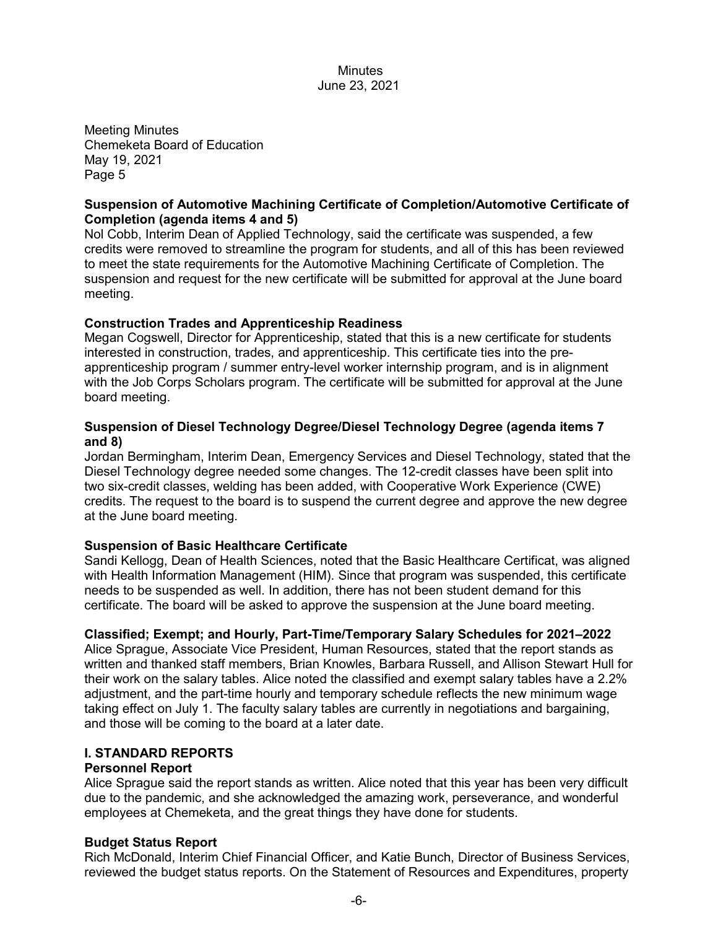Meeting Minutes Chemeketa Board of Education May 19, 2021 Page 5

### **Suspension of Automotive Machining Certificate of Completion/Automotive Certificate of Completion (agenda items 4 and 5)**

Nol Cobb, Interim Dean of Applied Technology, said the certificate was suspended, a few credits were removed to streamline the program for students, and all of this has been reviewed to meet the state requirements for the Automotive Machining Certificate of Completion. The suspension and request for the new certificate will be submitted for approval at the June board meeting.

# **Construction Trades and Apprenticeship Readiness**

Megan Cogswell, Director for Apprenticeship, stated that this is a new certificate for students interested in construction, trades, and apprenticeship. This certificate ties into the preapprenticeship program / summer entry-level worker internship program, and is in alignment with the Job Corps Scholars program. The certificate will be submitted for approval at the June board meeting.

### **Suspension of Diesel Technology Degree/Diesel Technology Degree (agenda items 7 and 8)**

Jordan Bermingham, Interim Dean, Emergency Services and Diesel Technology, stated that the Diesel Technology degree needed some changes. The 12-credit classes have been split into two six-credit classes, welding has been added, with Cooperative Work Experience (CWE) credits. The request to the board is to suspend the current degree and approve the new degree at the June board meeting.

# **Suspension of Basic Healthcare Certificate**

Sandi Kellogg, Dean of Health Sciences, noted that the Basic Healthcare Certificat, was aligned with Health Information Management (HIM). Since that program was suspended, this certificate needs to be suspended as well. In addition, there has not been student demand for this certificate. The board will be asked to approve the suspension at the June board meeting.

# **Classified; Exempt; and Hourly, Part-Time/Temporary Salary Schedules for 2021–2022**

Alice Sprague, Associate Vice President, Human Resources, stated that the report stands as written and thanked staff members, Brian Knowles, Barbara Russell, and Allison Stewart Hull for their work on the salary tables. Alice noted the classified and exempt salary tables have a 2.2% adjustment, and the part-time hourly and temporary schedule reflects the new minimum wage taking effect on July 1. The faculty salary tables are currently in negotiations and bargaining, and those will be coming to the board at a later date.

### **I. STANDARD REPORTS**

# **Personnel Report**

Alice Sprague said the report stands as written. Alice noted that this year has been very difficult due to the pandemic, and she acknowledged the amazing work, perseverance, and wonderful employees at Chemeketa, and the great things they have done for students.

### **Budget Status Report**

Rich McDonald, Interim Chief Financial Officer, and Katie Bunch, Director of Business Services, reviewed the budget status reports. On the Statement of Resources and Expenditures, property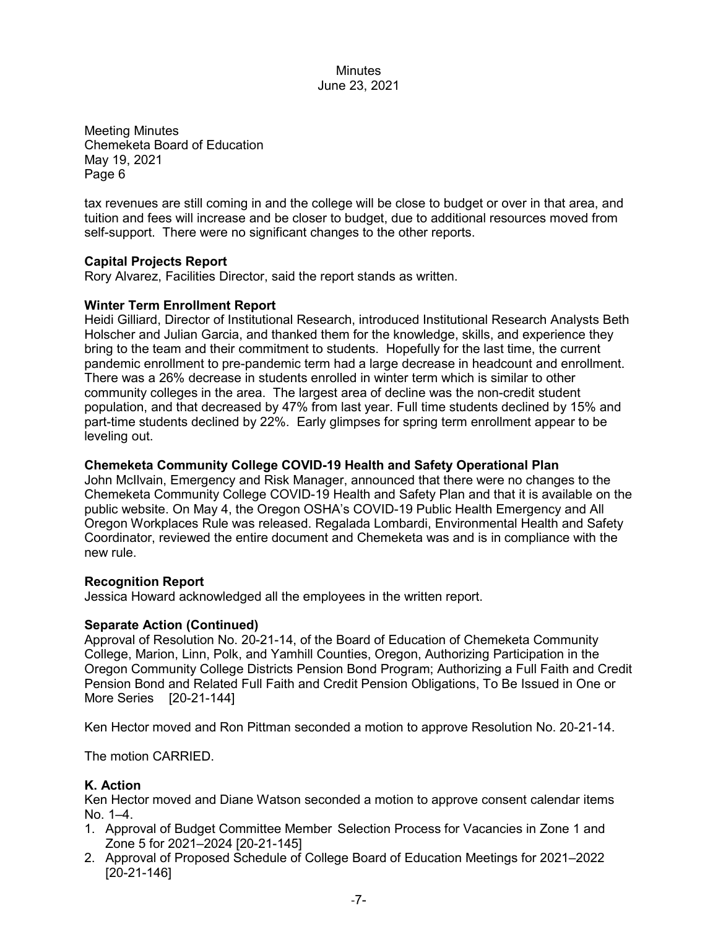Meeting Minutes Chemeketa Board of Education May 19, 2021 Page 6

tax revenues are still coming in and the college will be close to budget or over in that area, and tuition and fees will increase and be closer to budget, due to additional resources moved from self-support. There were no significant changes to the other reports.

### **Capital Projects Report**

Rory Alvarez, Facilities Director, said the report stands as written.

### **Winter Term Enrollment Report**

Heidi Gilliard, Director of Institutional Research, introduced Institutional Research Analysts Beth Holscher and Julian Garcia, and thanked them for the knowledge, skills, and experience they bring to the team and their commitment to students. Hopefully for the last time, the current pandemic enrollment to pre-pandemic term had a large decrease in headcount and enrollment. There was a 26% decrease in students enrolled in winter term which is similar to other community colleges in the area. The largest area of decline was the non-credit student population, and that decreased by 47% from last year. Full time students declined by 15% and part-time students declined by 22%. Early glimpses for spring term enrollment appear to be leveling out.

### **Chemeketa Community College COVID-19 Health and Safety Operational Plan**

John McIlvain, Emergency and Risk Manager, announced that there were no changes to the Chemeketa Community College COVID-19 Health and Safety Plan and that it is available on the public website. On May 4, the Oregon OSHA's COVID-19 Public Health Emergency and All Oregon Workplaces Rule was released. Regalada Lombardi, Environmental Health and Safety Coordinator, reviewed the entire document and Chemeketa was and is in compliance with the new rule.

### **Recognition Report**

Jessica Howard acknowledged all the employees in the written report.

### **Separate Action (Continued)**

Approval of Resolution No. 20-21-14, of the Board of Education of Chemeketa Community College, Marion, Linn, Polk, and Yamhill Counties, Oregon, Authorizing Participation in the Oregon Community College Districts Pension Bond Program; Authorizing a Full Faith and Credit Pension Bond and Related Full Faith and Credit Pension Obligations, To Be Issued in One or More Series [20-21-144]

Ken Hector moved and Ron Pittman seconded a motion to approve Resolution No. 20-21-14.

The motion CARRIED.

### **K. Action**

Ken Hector moved and Diane Watson seconded a motion to approve consent calendar items No. 1–4.

- 1. Approval of Budget Committee Member Selection Process for Vacancies in Zone 1 and Zone 5 for 2021–2024 [20-21-145]
- 2. Approval of Proposed Schedule of College Board of Education Meetings for 2021–2022 [20-21-146]